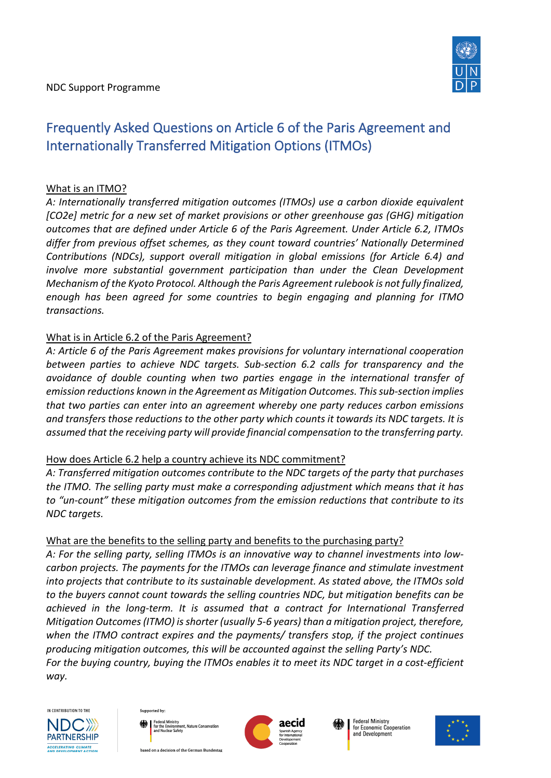

# Frequently Asked Questions on Article 6 of the Paris Agreement and Internationally Transferred Mitigation Options (ITMOs)

### What is an ITMO?

*A: Internationally transferred mitigation outcomes (ITMOs) use a carbon dioxide equivalent [CO2e] metric for a new set of market provisions or other greenhouse gas (GHG) mitigation outcomes that are defined under Article 6 of the Paris Agreement. Under Article 6.2, ITMOs differ from previous offset schemes, as they count toward countries' Nationally Determined Contributions (NDCs), support overall mitigation in global emissions (for Article 6.4) and involve more substantial government participation than under the Clean Development Mechanism of the Kyoto Protocol. Although the Paris Agreement rulebook is not fully finalized, enough has been agreed for some countries to begin engaging and planning for ITMO transactions.*

## What is in Article 6.2 of the Paris Agreement?

*A: Article 6 of the Paris Agreement makes provisions for voluntary international cooperation between parties to achieve NDC targets. Sub-section 6.2 calls for transparency and the avoidance of double counting when two parties engage in the international transfer of emission reductions known in the Agreement as Mitigation Outcomes. This sub-section implies that two parties can enter into an agreement whereby one party reduces carbon emissions and transfers those reductions to the other party which counts it towards its NDC targets. It is assumed that the receiving party will provide financial compensation to the transferring party.* 

### How does Article 6.2 help a country achieve its NDC commitment?

*A: Transferred mitigation outcomes contribute to the NDC targets of the party that purchases the ITMO. The selling party must make a corresponding adjustment which means that it has to "un-count" these mitigation outcomes from the emission reductions that contribute to its NDC targets.* 

# What are the benefits to the selling party and benefits to the purchasing party?

*A: For the selling party, selling ITMOs is an innovative way to channel investments into lowcarbon projects. The payments for the ITMOs can leverage finance and stimulate investment into projects that contribute to its sustainable development. As stated above, the ITMOs sold to the buyers cannot count towards the selling countries NDC, but mitigation benefits can be achieved in the long-term. It is assumed that a contract for International Transferred Mitigation Outcomes (ITMO) is shorter (usually 5-6 years) than a mitigation project, therefore, when the ITMO contract expires and the payments/ transfers stop, if the project continues producing mitigation outcomes, this will be accounted against the selling Party's NDC. For the buying country, buying the ITMOs enables it to meet its NDC target in a cost-efficient way.*







**Federal Ministry** for Economic Cooperation and Development



based on a decision of the German Bundestag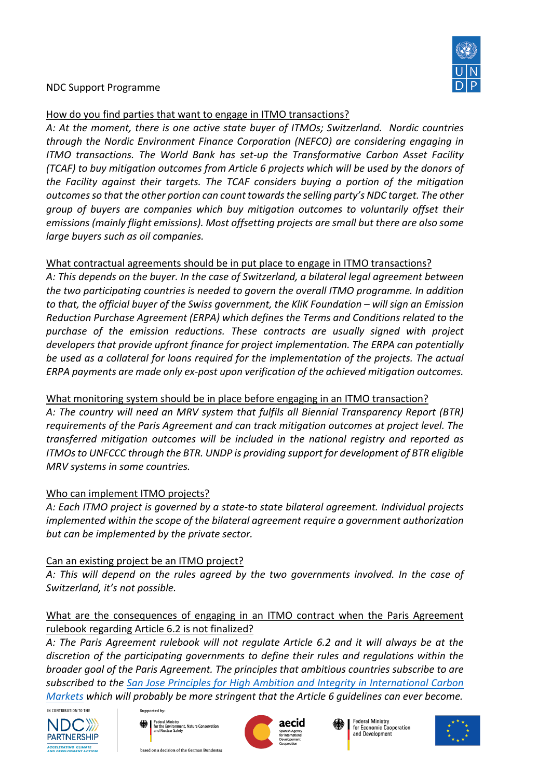

#### NDC Support Programme

#### How do you find parties that want to engage in ITMO transactions?

*A: At the moment, there is one active state buyer of ITMOs; Switzerland. Nordic countries through the Nordic Environment Finance Corporation (NEFCO) are considering engaging in ITMO transactions. The World Bank has set-up the Transformative Carbon Asset Facility (TCAF) to buy mitigation outcomes from Article 6 projects which will be used by the donors of the Facility against their targets. The TCAF considers buying a portion of the mitigation outcomes so that the other portion can count towards the selling party's NDC target. The other group of buyers are companies which buy mitigation outcomes to voluntarily offset their emissions (mainly flight emissions). Most offsetting projects are small but there are also some large buyers such as oil companies.*

## What contractual agreements should be in put place to engage in ITMO transactions?

*A: This depends on the buyer. In the case of Switzerland, a bilateral legal agreement between the two participating countries is needed to govern the overall ITMO programme. In addition to that, the official buyer of the Swiss government, the KliK Foundation – will sign an Emission Reduction Purchase Agreement (ERPA) which defines the Terms and Conditions related to the purchase of the emission reductions. These contracts are usually signed with project developers that provide upfront finance for project implementation. The ERPA can potentially be used as a collateral for loans required for the implementation of the projects. The actual ERPA payments are made only ex-post upon verification of the achieved mitigation outcomes.*

### What monitoring system should be in place before engaging in an ITMO transaction?

*A: The country will need an MRV system that fulfils all Biennial Transparency Report (BTR) requirements of the Paris Agreement and can track mitigation outcomes at project level. The transferred mitigation outcomes will be included in the national registry and reported as ITMOs to UNFCCC through the BTR. UNDP is providing support for development of BTR eligible MRV systems in some countries.* 

### Who can implement ITMO projects?

*A: Each ITMO project is governed by a state-to state bilateral agreement. Individual projects implemented within the scope of the bilateral agreement require a government authorization but can be implemented by the private sector.* 

# Can an existing project be an ITMO project?

*A: This will depend on the rules agreed by the two governments involved. In the case of Switzerland, it's not possible.* 

# What are the consequences of engaging in an ITMO contract when the Paris Agreement rulebook regarding Article 6.2 is not finalized?

*A: The Paris Agreement rulebook will not regulate Article 6.2 and it will always be at the discretion of the participating governments to define their rules and regulations within the broader goal of the Paris Agreement. The principles that ambitious countries subscribe to are subscribed to the San Jose Principles for High Ambition and Integrity in International Carbon Markets which will probably be more stringent that the Article 6 guidelines can ever become.* 







**Federal Ministry** for Economic Cooperation and Development